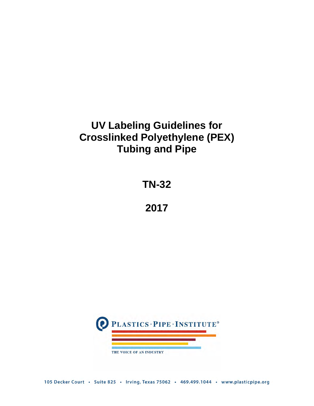# **UV Labeling Guidelines for Crosslinked Polyethylene (PEX) Tubing and Pipe**

**TN-32**

**2017**

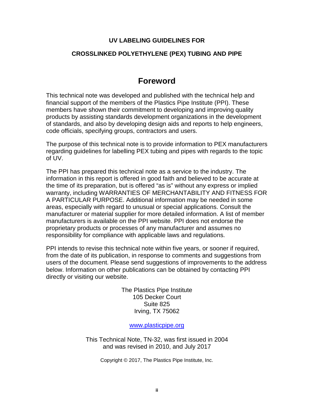### **UV LABELING GUIDELINES FOR**

### **CROSSLINKED POLYETHYLENE (PEX) TUBING AND PIPE**

## **Foreword**

This technical note was developed and published with the technical help and financial support of the members of the Plastics Pipe Institute (PPI). These members have shown their commitment to developing and improving quality products by assisting standards development organizations in the development of standards, and also by developing design aids and reports to help engineers, code officials, specifying groups, contractors and users.

The purpose of this technical note is to provide information to PEX manufacturers regarding guidelines for labelling PEX tubing and pipes with regards to the topic of UV.

The PPI has prepared this technical note as a service to the industry. The information in this report is offered in good faith and believed to be accurate at the time of its preparation, but is offered "as is" without any express or implied warranty, including WARRANTIES OF MERCHANTABILITY AND FITNESS FOR A PARTICULAR PURPOSE. Additional information may be needed in some areas, especially with regard to unusual or special applications. Consult the manufacturer or material supplier for more detailed information. A list of member manufacturers is available on the PPI website. PPI does not endorse the proprietary products or processes of any manufacturer and assumes no responsibility for compliance with applicable laws and regulations.

PPI intends to revise this technical note within five years, or sooner if required, from the date of its publication, in response to comments and suggestions from users of the document. Please send suggestions of improvements to the address below. Information on other publications can be obtained by contacting PPI directly or visiting our website.

> The Plastics Pipe Institute 105 Decker Court Suite 825 Irving, TX 75062

#### [www.plasticpipe.org](https://www.plasticpipe.org/)

This Technical Note, TN-32, was first issued in 2004 and was revised in 2010, and July 2017

Copyright © 2017, The Plastics Pipe Institute, Inc.